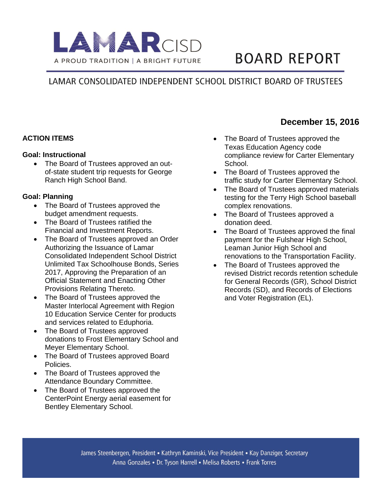

# **BOARD REPORT**

# LAMAR CONSOLIDATED INDEPENDENT SCHOOL DISTRICT BOARD OF TRUSTEES

# **ACTION ITEMS**

#### **Goal: Instructional**

• The Board of Trustees approved an outof-state student trip requests for George Ranch High School Band.

#### **Goal: Planning**

- The Board of Trustees approved the budget amendment requests.
- The Board of Trustees ratified the Financial and Investment Reports.
- The Board of Trustees approved an Order Authorizing the Issuance of Lamar Consolidated Independent School District Unlimited Tax Schoolhouse Bonds, Series 2017, Approving the Preparation of an Official Statement and Enacting Other Provisions Relating Thereto.
- The Board of Trustees approved the Master Interlocal Agreement with Region 10 Education Service Center for products and services related to Eduphoria.
- The Board of Trustees approved donations to Frost Elementary School and Meyer Elementary School.
- The Board of Trustees approved Board Policies.
- The Board of Trustees approved the Attendance Boundary Committee.
- The Board of Trustees approved the CenterPoint Energy aerial easement for Bentley Elementary School.

• The Board of Trustees approved the Texas Education Agency code compliance review for Carter Elementary School.

**December 15, 2016**

- The Board of Trustees approved the traffic study for Carter Elementary School.
- The Board of Trustees approved materials testing for the Terry High School baseball complex renovations.
- The Board of Trustees approved a donation deed.
- The Board of Trustees approved the final payment for the Fulshear High School, Leaman Junior High School and renovations to the Transportation Facility.
- The Board of Trustees approved the revised District records retention schedule for General Records (GR), School District Records (SD), and Records of Elections and Voter Registration (EL).